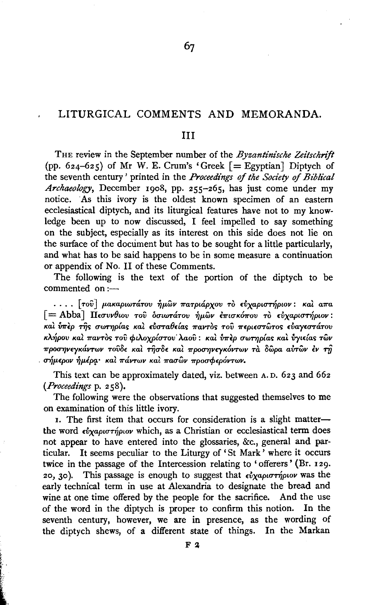### LITURGICAL COMMENTS AND MEMORANDA.

#### ш

THE review in the September number of the *Byzantinische Zeitschrift* (pp. 624-625) of Mr W. E. Crum's 'Greek  $[=$  Egyptian] Diptych of the seventh century' printed in the Proceedings of the Society of Biblical Archaeology, December 1908, pp. 255-265, has just come under my notice. As this ivory is the oldest known specimen of an eastern ecclesiastical diptych, and its liturgical features have not to my knowledge been up to now discussed, I feel impelled to say something on the subject, especially as its interest on this side does not lie on the surface of the document but has to be sought for a little particularly, and what has to be said happens to be in some measure a continuation or appendix of No. II of these Comments.

The following is the text of the portion of the diptych to be commented on :---

.... [τοῦ] μακαριωτάτου ἡμῶν πατριάρχου τὸ εὐχαριστήριον: καὶ απα [= Abba] Πεσυνθιου του δσιωτάτου ήμων επισκόπου το εύχαριστήριον: και ύπερ της σωτηρίας και εύσταθείας παντος του περιεστώτος εύαγεστάτου κλήρου καὶ παντὸς τοῦ φιλοχρίστου λαοῦ: καὶ ὑπὲρ σωτηρίας καὶ ὑγιείας τῶν προσηνεγκάντων τουδε και τησδε και προσηνεγκόντων τα δώρα αυτών έν τη σήμερον ήμέρα· καὶ πάντων καὶ πασῶν προσφερόντων.

This text can be approximately dated, viz. between A.D. 623 and 662 (Proceedings p. 258).

The following were the observations that suggested themselves to me on examination of this little ivory.

1. The first item that occurs for consideration is a slight matterthe word ευχαριστήριον which, as a Christian or ecclesiastical term does not appear to have entered into the glossaries, &c., general and par-It seems peculiar to the Liturgy of 'St Mark' where it occurs ticular. twice in the passage of the Intercession relating to 'offerers' (Br. 129. 20, 30). This passage is enough to suggest that  $\epsilon \dot{v} \chi a \rho \mu \sigma \tau \dot{\eta} \rho \omega \nu$  was the early technical term in use at Alexandria to designate the bread and wine at one time offered by the people for the sacrifice. And the use of the word in the diptych is proper to confirm this notion. In the seventh century, however, we are in presence, as the wording of the diptych shews, of a different state of things. In the Markan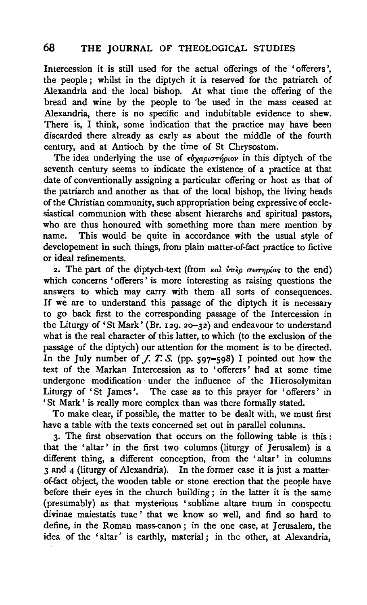## **68 THE JOURNAL** OF THEOLOGICAL STUDIES

Intercession it is still used for the actual offerings of the 'offerers ', the people ; whilst in the diptych it is reserved for the patriarch of Alexandria and the local bishop. At what time the offering of the bread and wine by the people to "be used in the mass ceased at Alexandria, there is no specific and indubitable evidence to shew. There is, I think, some indication that the practice may have been discarded there already as early as about the middle of the fourth century, and at Antioch by the time of St Chrysostom.

The idea underlying the use of *ευχαριστήριον* in this diptych of the seventh century seems to indicate the existence of a practice at that date of conventionally assigning a particular offering or host as that of the patriarch and another as that of the local bishop, the living heads of the Christian community, such appropriation being expressive of ecclesiastical communion with these absent hierarchs and spiritual pastors, who are thus honoured with something more than mere mention by name. This would be quite in accordance with the usual style of developement in such things, from plain matter-of-fact practice to fictive or ideal refinements.

2. The part of the diptych-text (from  $\kappa a \hat{i}$   $\delta \hat{r} \hat{k}$   $\sigma \omega \hat{r}$   $\eta \rho \hat{i}$ as to the end) which concerns ' offerers' is more interesting as raising questions the answers to which may carry with them all sorts of consequences. If we are to understand this passage of the diptych it is necessary to go back first to the corresponding passage of the Intercession in the Liturgy of' St Mark' (Br. 129. 2o-32) and endeavour to understand what is the real character of this latter, to which (to the exclusion of the passage of the diptych) our attention for the moment is to be directed. In the July number of *J. T. S.* (pp. 597-598) I pointed out how the text of the Markan Intercession as to 'offerers ' had at some time undergone modification under the influence of the Hierosolymitan Liturgy of 'St James'. The case as to this prayer for 'offerers' in 'St Mark ' is really more complex than was there formally stated.

To make clear, if possible, the matter to be dealt with, we must first have a table with the texts concerned set out in parallel columns.

3· The first observation that occurs on the following table is this : that the 'altar' in the first two columns (liturgy of Jerusalem) is a different thing, a different conception, from the 'altar' in columns 3 and 4 (liturgy of Alexandria). In the former case it is just a matterof-fact object, the wooden table or stone erection that the people have before their eyes in the church building; in the latter it is the same (presumably) as that mysterious 'sublime altare tuum in conspectu divinae maiestatis tuae' that we know so well, and find so hard to define, in the Roman mass-canon ; in the one case, at Jerusalem, the idea of the 'altar' is earthly, material; in the other, at Alexandria,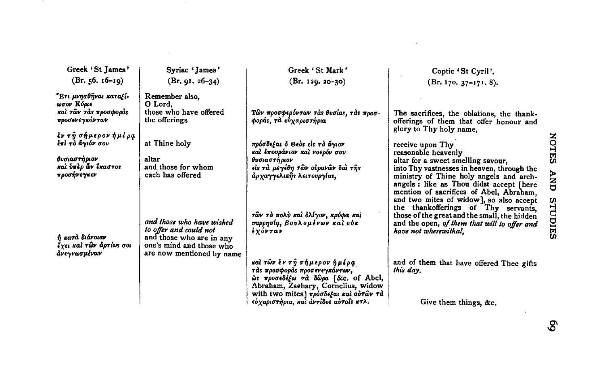| Greek 'St James'                                                   | Syriac 'James'                                                                                                                           | Greek 'St Mark'                                                                                                                                                                    | Coptic 'St Cyril'.                                                                                                                                                                                                                                                                                                                        |
|--------------------------------------------------------------------|------------------------------------------------------------------------------------------------------------------------------------------|------------------------------------------------------------------------------------------------------------------------------------------------------------------------------------|-------------------------------------------------------------------------------------------------------------------------------------------------------------------------------------------------------------------------------------------------------------------------------------------------------------------------------------------|
| $(Br. 56. 16-19)$                                                  | $(Br. 91. 26-34)$                                                                                                                        | $(Br. 129. 20-30)$                                                                                                                                                                 | $(Br. 170. 37-171. 8).$                                                                                                                                                                                                                                                                                                                   |
| "Ετι μνησθήναι καταξί-<br>ωσον Κύριε<br>και των τας προσφορας      | Remember also,<br>O Lord.<br>those who have offered                                                                                      |                                                                                                                                                                                    |                                                                                                                                                                                                                                                                                                                                           |
| προσενεγκάντων                                                     | the offerings                                                                                                                            | Τῶν προσφερόντων τας θυσίας, τας προσ-<br>φοράς, τα εύχαριστήρια                                                                                                                   | The sacrifices, the oblations, the thank-<br>offerings of them that offer honour and<br>glory to Thy holy name.                                                                                                                                                                                                                           |
| <i>έν τη σήμερον ήμέρα</i><br>έπὶ τὸ ἄγιόν σου                     | at Thine holy                                                                                                                            | πρόσδεξαι ό Θεὸς εἰς τὸ ἄγιον<br>καὶ ἐπουράνιον καὶ νοερόν σου                                                                                                                     | receive upon Thy<br>reasonable heavenly                                                                                                                                                                                                                                                                                                   |
| θυσιαστήριον                                                       | altar                                                                                                                                    | θυσιαστήριον                                                                                                                                                                       | altar for a sweet smelling savour,                                                                                                                                                                                                                                                                                                        |
| καὶ ὑπὲρ ῶν ἕκαστος<br>προσήνεγκεν                                 | and those for whom<br>each has offered                                                                                                   | είς τὰ μεγέθη τῶν οὐρανῶν διὰ τῆς                                                                                                                                                  | into Thy vastnesses in heaven, through the                                                                                                                                                                                                                                                                                                |
| ή κατά διάνοιαν<br>έχει και <b>τῶν ἀρτ</b> ίως σοι<br>άνεγνωσμένων | and those who have wished<br>to offer and could not<br>and those who are in any<br>one's mind and those who<br>are now mentioned by name | άρχα <del>γγ</del> ελικῆς λειτουργίας,<br>τῶν τὸ πολὺ καὶ ὀλίγον, κρύφα καὶ<br>παρρησία, βουλομένων καὶ οὐκ<br>έχόντων                                                             | ministry of Thine holy angels and arch-<br>angels : like as Thou didst accept [here<br>mention of sacrifices of Abel, Abraham.<br>and two mites of widow], so also accept<br>the thankofferings of Thy servants.<br>those of the great and the small, the hidden<br>and the open, of them that will to offer and<br>have not wherewithal. |
|                                                                    |                                                                                                                                          | καὶ τῶν ἐν τῆ σήμερον ἡμέρφ<br>τάς προσφοράς προσενεγκάντων,<br>ώς προσεδέξω τα δώρα [&c. of Abel,<br>Abraham, Zaehary, Cornelius, widow<br>with two mites] πρόσδεξαι και αυτών τα | and of them that have offered Thee gifts<br>this day.                                                                                                                                                                                                                                                                                     |
|                                                                    |                                                                                                                                          | εύχαριστήρια, και αντίδος αυτοίς κτλ.                                                                                                                                              | Give them things, &c.                                                                                                                                                                                                                                                                                                                     |
|                                                                    |                                                                                                                                          |                                                                                                                                                                                    |                                                                                                                                                                                                                                                                                                                                           |

 $\mathcal{L}^{\mathcal{L}}(\mathcal{L}^{\mathcal{L}})$  and  $\mathcal{L}^{\mathcal{L}}(\mathcal{L}^{\mathcal{L}})$  . The contribution of  $\mathcal{L}^{\mathcal{L}}$ 

 $\sim$   $\sim$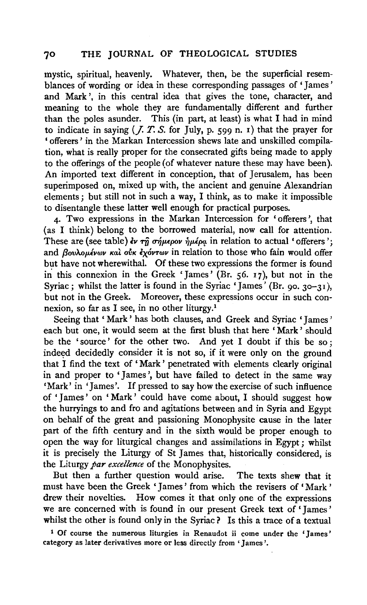### 70 THE JOURNAL OF THEOLOGICAL STUDIES

mystic, spiritual, heavenly. Whatever, then, be the superficial resemblances of wording or idea in these corresponding passages of 'James' and Mark', in this central idea that gives the tone, character, and meaning to the whole they are fundamentally different and further than the poles asunder. This (in part, at least) is what I had in mind to indicate in saying (*J. T. S.* for July, p. 599 n. 1) that the prayer for ' offerers ' in the Markan Intercession shews late and unskilled compilation, what is really proper for the consecrated gifts being made to apply to the offerings of the people (of whatever nature these may have been). An imported text different in conception, that of Jerusalem, has been superimposed on, mixed up with, the ancient and genuine Alexandrian elements ; but still not in such a way, I think, as to make it impossible to disentangle these latter well enough for practical purposes.

4· Two expressions in the Markan Intercession for ' offerers ', that (as I think) belong to the borrowed material, now call for attention. These are (see table)  $\dot{\epsilon}$   $\gamma$ <sup>n</sup>  $\sigma\dot{\gamma}$   $\mu\epsilon\rho\sigma$  in relation to actual 'offerers'; and *flovAoµέvwv kaì ovk εχόντων* in relation to those who fain would offer but have not wherewithal. Of these two expressions the former is found in this connexion in the Greek 'James' (Br.  $56. 17$ ), but not in the Syriac; whilst the latter is found in the Syriac 'James' (Br. 90. 30-31), but not in the Greek. Moreover, these expressions occur in such connexion, so far as I see, in no other liturgy.<sup>1</sup>

Seeing that 'Mark' has both clauses, and Greek and Syriac 'James' each but one, it would seem at the first blush that here ' Mark ' should be the 'source ' for the other two. And yet I doubt if this be so ; indeed decidedly consider it is not so, if it were only on the ground that I find the text of ' Mark ' penetrated with elements clearly original in and proper to 'James ', but have failed to detect in the same way 'Mark' in 'James'. If pressed to say how the exercise of such influence of 'James' on 'Mark' could have come about, I should suggest how the hurryings to and fro and agitations between and in Syria and Egypt on behalf of the great and passioning Monophysite cause in the later part of the fifth century and in the sixth would be proper enough to open the way for liturgical changes and assimilations in Egypt ; whilst it is precisely the Liturgy of St James that, historically considered, is the Liturgy *par excellence* of the Monophysites.

But then a further question would arise. The texts shew that it must have been the Greek 'James' from which the revisers of' Mark' drew their novelties. How comes it that only one of the expressions we are concerned with is found in our present Greek text of' James' whilst the other is found only in the Syriac? Is this a trace of a textual

<sup>1</sup> Of course the numerous liturgies in Renaudot ii come under the 'James' category as later derivatives more or less directly from 'James '·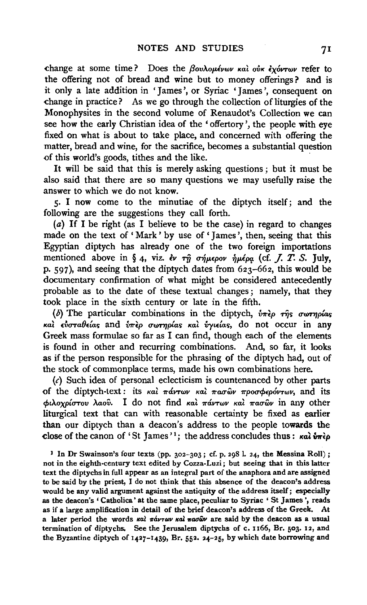change at some time? Does the βουλομένων και ούκ εχόντων refer to the offering not of bread and wine but to money offerings? and is it only a late addition in 'James ', or Syriac 'James ', consequent on change in practice? As we go through the collection of liturgies of the Monophysites in the second volume of Renaudot's Collection we can see how the early Christian idea of the ' offertory ', the people with eye fixed on what is about to take place, and concerned with offering the matter, bread and wine, for the sacrifice, becomes a substantial question of this world's goods, tithes and the like.

It will be said that this is merely asking questions ; but it must be also said that there are so many questions we may usefully raise the answer to which we do not know.

5· I now come to the minutiae of the diptych itself; and the following are the suggestions they call forth.

(a) If I be right (as I believe to be the case) in regard to changes made on the text of 'Mark' by use of 'James', then, seeing that this Egyptian diptych has already one of the two foreign importations mentioned above in § 4, viz. *εν τη σήμερον ημέρα* (cf. *J. T. S. July*, p. 597), and seeing that the diptych dates from 623-662, this would be documentary confirmation of what might be considered antecedently probable as to the date of these textual changes; namely, that they took place in the sixth century or late in the fifth.

(b) The particular combinations in the diptych,  $\hat{v}\pi\hat{e}\rho$  ris *cwrnplas* Ka~ *&UTa8£las* and v1r~p *CTIJYTTiplas Kal. Vyt£las,* do not occur in any Greek mass formulae so far as I can find, though each of the elements is found in other and recurring combinations. And, so far, it looks as if the person responsible for the phrasing of the diptych had, out of the stock of commonplace terms, made his own combinations here.

 $(c)$  Such idea of personal eclecticism is countenanced by other parts of the diptych-text: its  $\kappa a$   $\vec{l}$   $\vec{r}$   $\vec{v}$   $\vec{r}$   $\vec{r}$   $\vec{v}$   $\vec{v}$   $\vec{v}$   $\vec{v}$   $\vec{v}$   $\vec{v}$   $\vec{v}$   $\vec{v}$  and its *cptAoXP{CTTov >..aov.* I do not find *Kal. miVTwv Kal. 1rauwv* in any other liturgical text that can with reasonable certainty be fixed as earlier than our diptych than a deacon's address to the people towards the close of the canon of 'St James'<sup>1</sup>; the address concludes thus :  $\kappa a \hat{v} \pi \hat{\epsilon} \rho$ 

1 In Dr Swainson's four texts (pp. 302-303 ; cf. p. 298 I. 24, the Messina Roll) ; not in the eighth-century text edited by Cozza-Luzi; but seeing that in this latter text the diptychs in full appear as an integral part of the anaphora and are assigned to be said by the priest, I do not think that this absence of the deacon's address would be any valid argument against the antiquity of the address itself; especially as the deacon's 'Catholica' at the same place, peculiar to Syriac ' St James', reads as if a large amplification in detail of the brief deacon's address of the Greek. At a later period the words  $\kappa a$ l  $\pi a\nu\tau\omega\nu$   $\kappa a$ l  $\pi a\sigma\hat{\omega}\nu$  are said by the deacon as a usual termination of diptychs. See the Jerusalem diptychs of c. 1166, Br. 503. 12, and the Byzantine diptych of  $1427-1439$ , Br. 552. 24-25, by which date borrowing and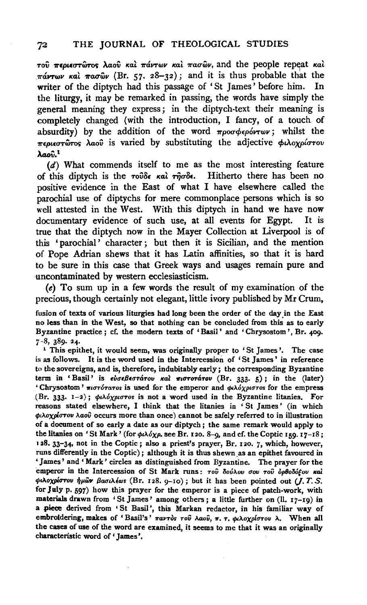$\tau$ ού περιεστώτος λαού και πάντων και πασών, and the people repeat και  $\pi\acute{a}$ vr $\omega\nu$  και  $\pi a\sigma\hat{\omega}\nu$  (Br. 57. 28-32); and it is thus probable that the writer of the diptych had this passage of 'St James' before him. In the liturgy, it may be remarked in passing, the words have simply the general meaning they express; in the diptych-text their meaning is completely changed (with the introduction, I fancy, of a touch of absurdity) by the addition of the word  $\pi \rho \sigma \phi \epsilon \rho \delta \nu \tau \omega \nu$ ; whilst the *1r£pL€UTWTos* M.oii is varied by substituting the adjective *cf>LAoXP{UTov*   $\lambda$ ao $\hat{v}$ <sup>1</sup>

(d) What commends itself to me as the most interesting feature of this diptych is the *τούδε και τησδε*. Hitherto there has been no positive evidence in the East of what I have elsewhere called the parochial use of diptychs for mere commonplace persons which is so well attested in the West. With this diptych in hand we have now documentary evidence of such use, at all events for Egypt. It is true that the diptych now in the Mayer Collection at Liverpool is of this 'parochial' character; but then it is Sicilian, and the mention of Pope Adrian shews that it has Latin affinities, so that it is hard to be sure in this case that Greek ways and usages remain pure and uncontaminated by western ecclesiasticism.

(e) To sum up in a few words the result of my examination of the precious, though certainly not elegant, little ivory published by Mr Crum,

fusion of texts of various liturgies had long been the order of the day in the East no less than in the West, so that nothing can be concluded from this as to early Byzantine practice ; cf. the modern texts of 'Basil' and 'Chrysostom ', Br. *409·*  7-8, 389- 24· 1 This epithet, it would seem, was originally proper to 'St James '· The case

is as follows. It is the word used in the Intercession of 'St James' in reference to the sovereigns, and is, therefore, indubitably early; the corresponding Byzantine term in 'Basil' is  $\epsilon \nu \epsilon \beta \epsilon \sigma \tau \dot{\alpha} \tau \nu \kappa \alpha \lambda$   $\pi \iota \sigma \tau \sigma \tau \dot{\alpha} \tau \nu \kappa$  (Br. 333. 5); in the (later) 'Chrysostom'  $\pi i\sigma\tau\sigma\tau\sigma\sigma s$  is used for the emperor and  $\phi\lambda\delta\chi\rho\sigma\tau\sigma s$  for the empress (Br. 333.  $I-2$ );  $\phi i \lambda \delta \chi \rho i \sigma \tau$ os is not a word used in the Byzantine litanies. For reasons stated elsewhere, I think that the litanies in 'St James' (in which  $ρ<sub>i</sub>λοχρίστου λαοῦ occurs more than once) cannot be safely referred to in illustration$ of a document of so early a date as our diptych ; the same remark would apply to the litanies on 'St Mark' (for  $\phi \wedge \phi \wedge \phi$ , see Br. 120. 8-9, and cf. the Coptic 159. 17-18; 128. 33-34, not in the Coptic; also a priest's prayer, Br. 120. 7, which, however, runs differently in the Coptic); although it is thus shewn.as an epithet favoured in 'James' and 'Mark' circles as distinguished from Byzantine. The prayer for the emperor in the Intercession of St Mark runs: του δούλου σου του ορθοδόξου και  $\phi$ ιλοχρίστου ήμῶν βασιλίωs (Br. 128. g-10); but it has been pointed out (*J. T. S.* for July p. 597) how this prayer for the emperor is a piece of patch-work, with materials drawn from 'St James' among others; a little further on (11. 17-19) in a piece derived from 'St Basil', this Markan redactor, in his familiar way of embroidering, makes of 'Basil's' παντός του λαού, π. τ. φιλοχρίστου λ. When all the cases of use of the word are examined, it seems to me that it was an originally characteristic word of 'James '.